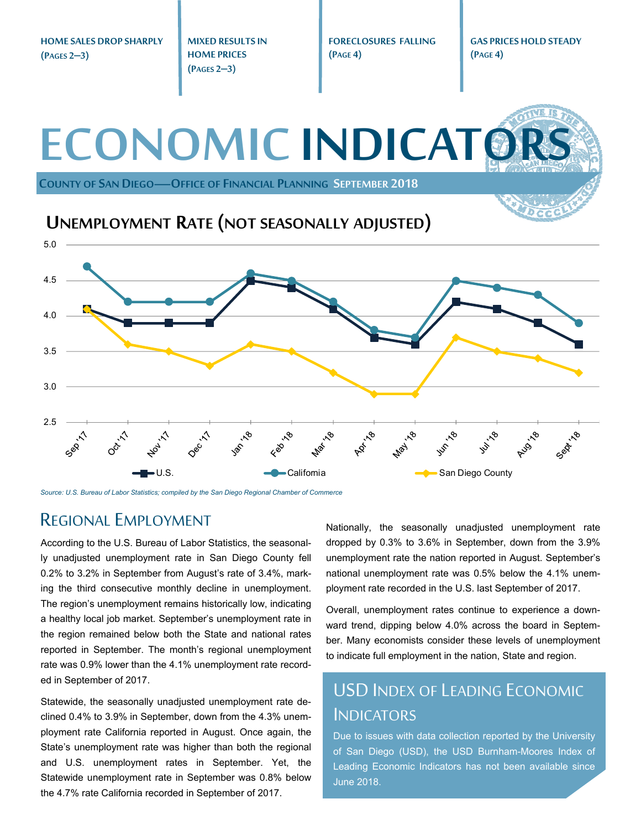**HOME SALES DROP SHARPLY (PAGES 2–3)** 

**MIXED RESULTS IN HOME PRICES (PAGES 2–3)** 

**FORECLOSURES FALLING (PAGE 4)** 

**GAS PRICES HOLD STEADY (PAGE 4)** 

# **ECONOMIC INDICATO COUNTY OF SAN DIEGO—OFFICE OF FINANCIAL PLANNING SEPTEMBER 2018** 3.5 4.0 4.5 5.0 **UNEMPLOYMENT RATE (NOT SEASONALLY ADJUSTED)**



*Source: U.S. Bureau of Labor Statistics; compiled by the San Diego Regional Chamber of Commerce* 

### REGIONAL EMPLOYMENT

According to the U.S. Bureau of Labor Statistics, the seasonally unadjusted unemployment rate in San Diego County fell 0.2% to 3.2% in September from August's rate of 3.4%, marking the third consecutive monthly decline in unemployment. The region's unemployment remains historically low, indicating a healthy local job market. September's unemployment rate in the region remained below both the State and national rates reported in September. The month's regional unemployment rate was 0.9% lower than the 4.1% unemployment rate recorded in September of 2017.

Statewide, the seasonally unadjusted unemployment rate declined 0.4% to 3.9% in September, down from the 4.3% unemployment rate California reported in August. Once again, the State's unemployment rate was higher than both the regional and U.S. unemployment rates in September. Yet, the Statewide unemployment rate in September was 0.8% below the 4.7% rate California recorded in September of 2017.

Nationally, the seasonally unadjusted unemployment rate dropped by 0.3% to 3.6% in September, down from the 3.9% unemployment rate the nation reported in August. September's national unemployment rate was 0.5% below the 4.1% unemployment rate recorded in the U.S. last September of 2017.

Overall, unemployment rates continue to experience a downward trend, dipping below 4.0% across the board in September. Many economists consider these levels of unemployment to indicate full employment in the nation, State and region.

## USD INDEX OF LEADING ECONOMIC **INDICATORS**

Due to issues with data collection reported by the University of San Diego (USD), the USD Burnham-Moores Index of Leading Economic Indicators has not been available since June 2018.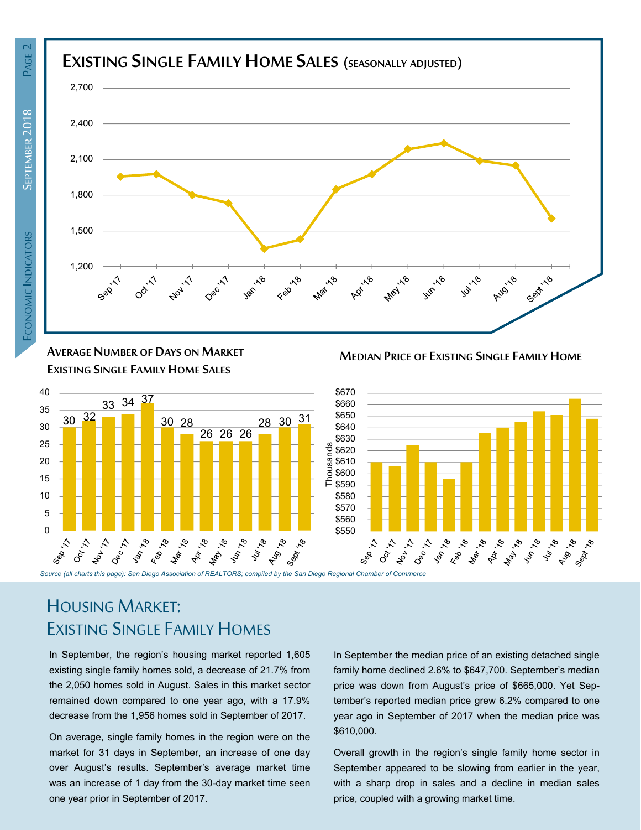

**AVERAGE NUMBER OF DAYS ON MARKET EXISTING SINGLE FAMILY HOME SALES**



**MEDIAN PRICE OF EXISTING SINGLE FAMILY HOME**



## HOUSING MARKET: EXISTING SINGLE FAMILY HOMES

In September, the region's housing market reported 1,605 existing single family homes sold, a decrease of 21.7% from the 2,050 homes sold in August. Sales in this market sector remained down compared to one year ago, with a 17.9% decrease from the 1,956 homes sold in September of 2017.

On average, single family homes in the region were on the market for 31 days in September, an increase of one day over August's results. September's average market time was an increase of 1 day from the 30-day market time seen one year prior in September of 2017.

In September the median price of an existing detached single family home declined 2.6% to \$647,700. September's median price was down from August's price of \$665,000. Yet September's reported median price grew 6.2% compared to one year ago in September of 2017 when the median price was \$610,000.

Overall growth in the region's single family home sector in September appeared to be slowing from earlier in the year, with a sharp drop in sales and a decline in median sales price, coupled with a growing market time.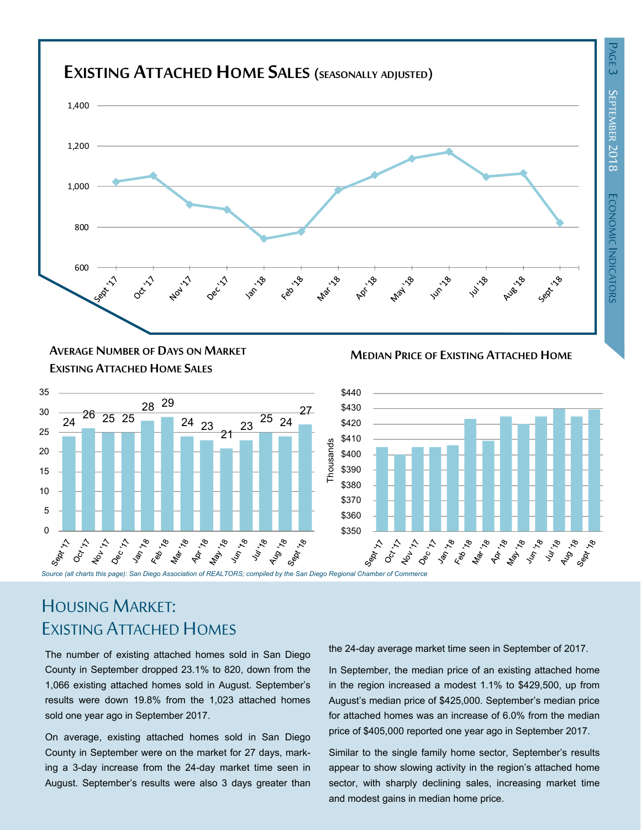

#### **MEDIAN PRICE OF EXISTING ATTACHED HOME AVERAGE NUMBER OF DAYS ON MARKET EXISTING ATTACHED HOME SALES**





## HOUSING MARKET: EXISTING ATTACHED HOMES

The number of existing attached homes sold in San Diego County in September dropped 23.1% to 820, down from the 1,066 existing attached homes sold in August. September's results were down 19.8% from the 1,023 attached homes sold one year ago in September 2017.

On average, existing attached homes sold in San Diego County in September were on the market for 27 days, marking a 3-day increase from the 24-day market time seen in August. September's results were also 3 days greater than the 24-day average market time seen in September of 2017.

In September, the median price of an existing attached home in the region increased a modest 1.1% to \$429,500, up from August's median price of \$425,000. September's median price for attached homes was an increase of 6.0% from the median price of \$405,000 reported one year ago in September 2017.

Similar to the single family home sector, September's results appear to show slowing activity in the region's attached home sector, with sharply declining sales, increasing market time and modest gains in median home price.